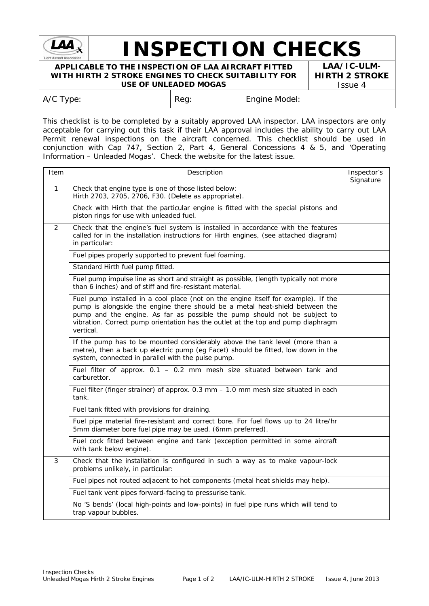

## **INSPECTION CHECKS**

**APPLICABLE TO THE INSPECTION OF LAA AIRCRAFT FITTED WITH HIRTH 2 STROKE ENGINES TO CHECK SUITABILITY FOR USE OF UNLEADED MOGAS**

**LAA/IC-ULM-HIRTH 2 STROKE** Issue 4

| A/C Type: | Reg: | Engine Model: |
|-----------|------|---------------|
|           |      |               |

This checklist is to be completed by a suitably approved LAA inspector. LAA inspectors are only acceptable for carrying out this task if their LAA approval includes the ability to carry out LAA Permit renewal inspections on the aircraft concerned. This checklist should be used in conjunction with Cap 747, Section 2, Part 4, General Concessions 4 & 5, and 'Operating Information – Unleaded Mogas'. Check the website for the latest issue.

| Item         | Description                                                                                                                                                                                                                                                                                                                                      |  |  |
|--------------|--------------------------------------------------------------------------------------------------------------------------------------------------------------------------------------------------------------------------------------------------------------------------------------------------------------------------------------------------|--|--|
| $\mathbf{1}$ | Check that engine type is one of those listed below:<br>Hirth 2703, 2705, 2706, F30. (Delete as appropriate).                                                                                                                                                                                                                                    |  |  |
|              | Check with Hirth that the particular engine is fitted with the special pistons and<br>piston rings for use with unleaded fuel.                                                                                                                                                                                                                   |  |  |
| 2            | Check that the engine's fuel system is installed in accordance with the features<br>called for in the installation instructions for Hirth engines, (see attached diagram)<br>in particular:                                                                                                                                                      |  |  |
|              | Fuel pipes properly supported to prevent fuel foaming.<br>Standard Hirth fuel pump fitted.                                                                                                                                                                                                                                                       |  |  |
|              |                                                                                                                                                                                                                                                                                                                                                  |  |  |
|              | Fuel pump impulse line as short and straight as possible, (length typically not more<br>than 6 inches) and of stiff and fire-resistant material.                                                                                                                                                                                                 |  |  |
|              | Fuel pump installed in a cool place (not on the engine itself for example). If the<br>pump is alongside the engine there should be a metal heat-shield between the<br>pump and the engine. As far as possible the pump should not be subject to<br>vibration. Correct pump orientation has the outlet at the top and pump diaphragm<br>vertical. |  |  |
|              | If the pump has to be mounted considerably above the tank level (more than a<br>metre), then a back up electric pump (eg Facet) should be fitted, low down in the<br>system, connected in parallel with the pulse pump.                                                                                                                          |  |  |
|              | Fuel filter of approx. 0.1 - 0.2 mm mesh size situated between tank and<br>carburettor.                                                                                                                                                                                                                                                          |  |  |
|              | Fuel filter (finger strainer) of approx. 0.3 mm - 1.0 mm mesh size situated in each<br>tank.                                                                                                                                                                                                                                                     |  |  |
|              | Fuel tank fitted with provisions for draining.                                                                                                                                                                                                                                                                                                   |  |  |
|              | Fuel pipe material fire-resistant and correct bore. For fuel flows up to 24 litre/hr<br>5mm diameter bore fuel pipe may be used. (6mm preferred).                                                                                                                                                                                                |  |  |
|              | Fuel cock fitted between engine and tank (exception permitted in some aircraft<br>with tank below engine).                                                                                                                                                                                                                                       |  |  |
| 3            | Check that the installation is configured in such a way as to make vapour-lock<br>problems unlikely, in particular:                                                                                                                                                                                                                              |  |  |
|              | Fuel pipes not routed adjacent to hot components (metal heat shields may help).                                                                                                                                                                                                                                                                  |  |  |
|              | Fuel tank vent pipes forward-facing to pressurise tank.                                                                                                                                                                                                                                                                                          |  |  |
|              | No 'S bends' (local high-points and low-points) in fuel pipe runs which will tend to<br>trap vapour bubbles.                                                                                                                                                                                                                                     |  |  |